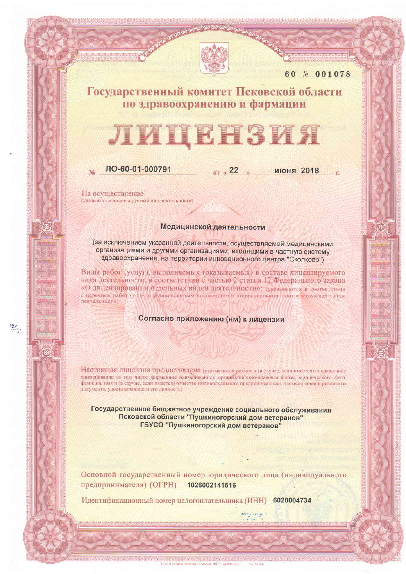

60 N 001078

# Государственный комитет Псковской области по здравоохранению и фармации

# НЗИЯ

## ЛО-60-01-000791

or  $\alpha$  22

**ИЮНЯ 2018** 

На осуществление (указывается лицензируемый вид деятельности)

### Медицинской деятельности

(за исключением указанной деятельности, осуществляемой медицинскими организациями и другими организациями, входящими в частную систему здравоохранения, на территории инновационного центра "Сколково")

Виды работ (услуг), выполняемых (оказываемых) в составе лицензируемого вида деятельности, в соответствии с частью 2 статьи 12 Федерального закона «О лицензировании отдельных видов деятельности»: (указываются в соответствии с перечнем работ (услуг), установленным положением о лицензировании соответствующего вида леятельности)

#### Согласно приложению (ям) к лицензии

Настоящая лицензия предоставлена (указываются родное и (и случае, если имеется) сокращенное наименование (в том числе фирменное наименование), организационно-правовая форма юридического лица, фамилия, имя и (в случае, если имеется) отчество индивидуального предпринимателя, наименование и реквизиты документа, удостоверяющего его личность)

Государственное бюджетное учреждение социального обслуживания Псковской области "Пушкиногорский дом ветеранов" ГБУСО "Пушкиногорский дом ветеранов"

Основной государственный номер юридического лица (индивидуального предпринимателя) (ОГРН) 1026002141516

Идентификационный номер налогоплательщика (ИНН) 6020004734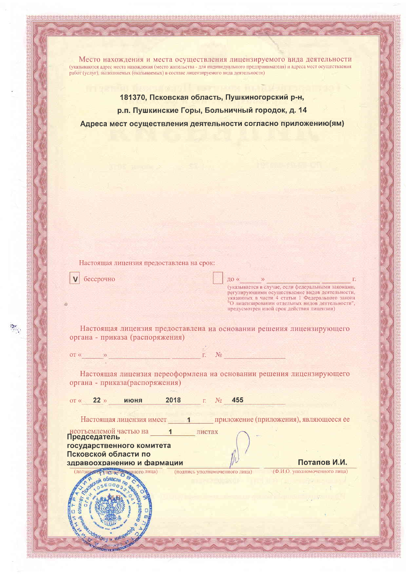Место нахождения и места осуществления лицензируемого вида деятельности (указываются адрес места нахождения (место жительства - для индивидуального предпринимателя) и адреса мест осуществления работ (услуг), выполняемых (оказываемых) в составе лицензируемого вида деятельности)

181370, Псковская область, Пушкиногорский р-н, р.п. Пушкинские Горы, Больничный городок, д. 14 Адреса мест осуществления деятельности согласно приложению (ям)

Настоящая лицензия предоставлена на срок:

бессрочно

 $\frac{1}{2} \mathcal{C}$ 

до «  $\Gamma$ . (указывается в случае, если федеральными законами, умазывается в случае сведение видов деятельности,<br>регулирующими осуществление видов деятельности,<br>указанных в части 4 статьи 1 Федерального закона<br>"О лицензировании отдельных видов деятельности",<br>предусмотрен иной срок де

Настоящая лицензия предоставлена на основании решения лицензирующего органа - приказа (распоряжения)

| $\overline{OT}$ |  | $\Gamma$ No.<br>the company's property and the property |  | the property of the control of the property of |
|-----------------|--|---------------------------------------------------------|--|------------------------------------------------|
|                 |  |                                                         |  |                                                |

Настоящая лицензия переоформлена на основании решения лицензирующего органа - приказа(распоряжения)

| $22 \times$<br>$OT \ll$                            | июня          | 2018   | 455<br>Nα                      |                                        |
|----------------------------------------------------|---------------|--------|--------------------------------|----------------------------------------|
| Настоящая лицензия имеет                           |               |        |                                | приложение (приложения), являющееся ее |
| неотъемлемой частью на<br>Председатель             |               | листах |                                |                                        |
| государственного комитета                          |               |        |                                |                                        |
| Псковской области по<br>здравоохранению и фармации |               |        |                                | Потапов И.И.                           |
|                                                    | езнного лица) |        | (подпись уполномоченного лица) | (Ф.И.О. уполномоченного лица)          |
|                                                    |               |        |                                |                                        |